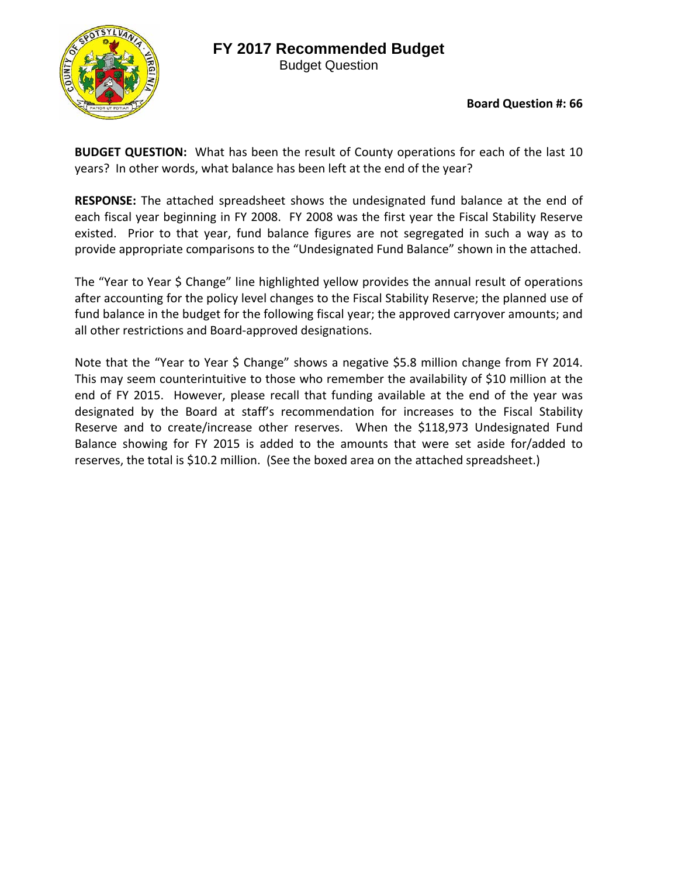## **FY 2017 Recommended Budget**



Budget Question

**Board Question #: 66**

**BUDGET QUESTION:** What has been the result of County operations for each of the last 10 years? In other words, what balance has been left at the end of the year?

**RESPONSE:** The attached spreadsheet shows the undesignated fund balance at the end of each fiscal year beginning in FY 2008. FY 2008 was the first year the Fiscal Stability Reserve existed. Prior to that year, fund balance figures are not segregated in such a way as to provide appropriate comparisons to the "Undesignated Fund Balance" shown in the attached.

The "Year to Year \$ Change" line highlighted yellow provides the annual result of operations after accounting for the policy level changes to the Fiscal Stability Reserve; the planned use of fund balance in the budget for the following fiscal year; the approved carryover amounts; and all other restrictions and Board‐approved designations.

Note that the "Year to Year \$ Change" shows a negative \$5.8 million change from FY 2014. This may seem counterintuitive to those who remember the availability of \$10 million at the end of FY 2015. However, please recall that funding available at the end of the year was designated by the Board at staff's recommendation for increases to the Fiscal Stability Reserve and to create/increase other reserves. When the \$118,973 Undesignated Fund Balance showing for FY 2015 is added to the amounts that were set aside for/added to reserves, the total is \$10.2 million. (See the boxed area on the attached spreadsheet.)